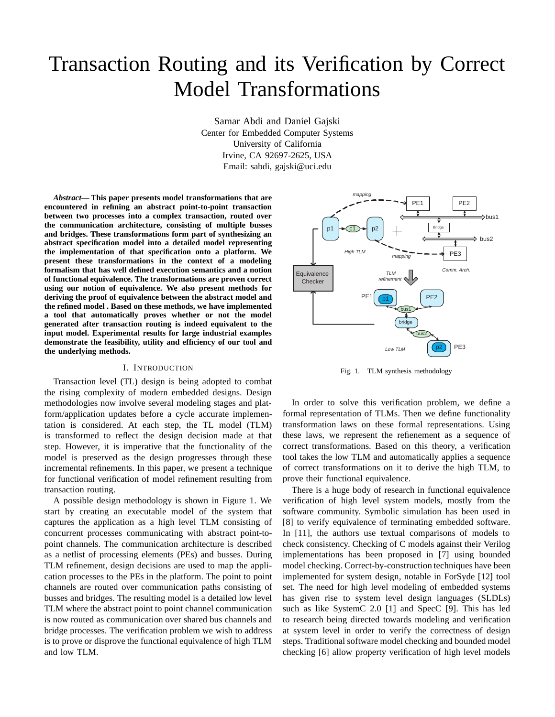# Transaction Routing and its Verification by Correct Model Transformations

Samar Abdi and Daniel Gajski Center for Embedded Computer Systems University of California Irvine, CA 92697-2625, USA Email: sabdi, gajski@uci.edu

*Abstract***— This paper presents model transformations that are encountered in refining an abstract point-to-point transaction between two processes into a complex transaction, routed over the communication architecture, consisting of multiple busses and bridges. These transformations form part of synthesizing an abstract specification model into a detailed model representing the implementation of that specification onto a platform. We present these transformations in the context of a modeling formalism that has well defined execution semantics and a notion of functional equivalence. The transformations are proven correct using our notion of equivalence. We also present methods for deriving the proof of equivalence between the abstract model and the refined model . Based on these methods, we have implemented a tool that automatically proves whether or not the model generated after transaction routing is indeed equivalent to the input model. Experimental results for large industrial examples demonstrate the feasibility, utility and efficiency of our tool and the underlying methods.**

### I. INTRODUCTION

Transaction level (TL) design is being adopted to combat the rising complexity of modern embedded designs. Design methodologies now involve several modeling stages and platform/application updates before a cycle accurate implementation is considered. At each step, the TL model (TLM) is transformed to reflect the design decision made at that step. However, it is imperative that the functionality of the model is preserved as the design progresses through these incremental refinements. In this paper, we present a technique for functional verification of model refinement resulting from transaction routing.

A possible design methodology is shown in Figure 1. We start by creating an executable model of the system that captures the application as a high level TLM consisting of concurrent processes communicating with abstract point-topoint channels. The communication architecture is described as a netlist of processing elements (PEs) and busses. During TLM refinement, design decisions are used to map the application processes to the PEs in the platform. The point to point channels are routed over communication paths consisting of busses and bridges. The resulting model is a detailed low level TLM where the abstract point to point channel communication is now routed as communication over shared bus channels and bridge processes. The verification problem we wish to address is to prove or disprove the functional equivalence of high TLM and low TLM.



Fig. 1. TLM synthesis methodology

In order to solve this verification problem, we define a formal representation of TLMs. Then we define functionality transformation laws on these formal representations. Using these laws, we represent the refienement as a sequence of correct transformations. Based on this theory, a verification tool takes the low TLM and automatically applies a sequence of correct transformations on it to derive the high TLM, to prove their functional equivalence.

There is a huge body of research in functional equivalence verification of high level system models, mostly from the software community. Symbolic simulation has been used in [8] to verify equivalence of terminating embedded software. In [11], the authors use textual comparisons of models to check consistency. Checking of C models against their Verilog implementations has been proposed in [7] using bounded model checking. Correct-by-construction techniques have been implemented for system design, notable in ForSyde [12] tool set. The need for high level modeling of embedded systems has given rise to system level design languages (SLDLs) such as like SystemC 2.0 [1] and SpecC [9]. This has led to research being directed towards modeling and verification at system level in order to verify the correctness of design steps. Traditional software model checking and bounded model checking [6] allow property verification of high level models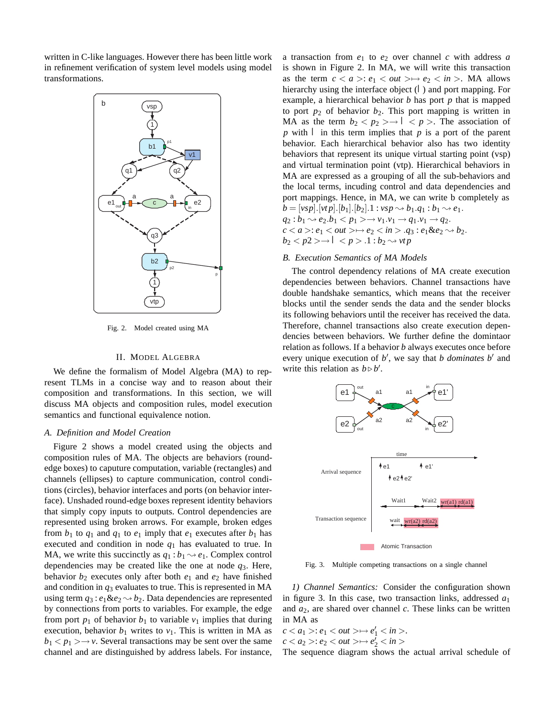written in C-like languages. However there has been little work in refinement verification of system level models using model transformations.



Fig. 2. Model created using MA

### II. MODEL ALGEBRA

We define the formalism of Model Algebra (MA) to represent TLMs in a concise way and to reason about their composition and transformations. In this section, we will discuss MA objects and composition rules, model execution semantics and functional equivalence notion.

#### *A. Definition and Model Creation*

Figure 2 shows a model created using the objects and composition rules of MA. The objects are behaviors (roundedge boxes) to caputure computation, variable (rectangles) and channels (ellipses) to capture communication, control conditions (circles), behavior interfaces and ports (on behavior interface). Unshaded round-edge boxes represent identity behaviors that simply copy inputs to outputs. Control dependencies are represented using broken arrows. For example, broken edges from  $b_1$  to  $q_1$  and  $q_1$  to  $e_1$  imply that  $e_1$  executes after  $b_1$  has executed and condition in node  $q_1$  has evaluated to true. In MA, we write this succinctly as  $q_1 : b_1 \rightarrow e_1$ . Complex control dependencies may be created like the one at node *q*3. Here, behavior  $b_2$  executes only after both  $e_1$  and  $e_2$  have finished and condition in *q*<sup>3</sup> evaluates to true. This is represented in MA using term  $q_3$ :  $e_1 \& e_2 \rightarrow b_2$ . Data dependencies are represented by connections from ports to variables. For example, the edge from port  $p_1$  of behavior  $b_1$  to variable  $v_1$  implies that during execution, behavior  $b_1$  writes to  $v_1$ . This is written in MA as  $b_1 < p_1 > \rightarrow v$ . Several transactions may be sent over the same channel and are distinguished by address labels. For instance, a transaction from *e*<sup>1</sup> to *e*<sup>2</sup> over channel *c* with address *a* is shown in Figure 2. In MA, we will write this transaction as the term  $c < a >: e_1 < out > \rightarrow e_2 < in >$ . MA allows hierarchy using the interface object  $(I)$  and port mapping. For example, a hierarchical behavior *b* has port *p* that is mapped to port  $p_2$  of behavior  $b_2$ . This port mapping is written in MA as the term  $b_2 < p_2 > \rightarrow I < p >$ . The association of *p* with *I* in this term implies that *p* is a port of the parent behavior. Each hierarchical behavior also has two identity behaviors that represent its unique virtual starting point (vsp) and virtual termination point (vtp). Hierarchical behaviors in MA are expressed as a grouping of all the sub-behaviors and the local terms, incuding control and data dependencies and port mappings. Hence, in MA, we can write b completely as  $b = [vsp],[vtp],[b_1],[b_2].1 : vsp \rightsquigarrow b_1.q_1 : b_1 \rightsquigarrow e_1.$  $q_2 : b_1 \sim e_2.b_1 < p_1 > \rightarrow v_1.v_1 \to q_1.v_1 \to q_2.$  $c < a >: e_1 < out > \rightarrow e_2 < in > .q_3 : e_1 \& e_2 \rightarrow b_2.$  $b_2 < p2 > \rightarrow I < p > .1$  :  $b_2 \rightsquigarrow vtp$ 

### *B. Execution Semantics of MA Models*

The control dependency relations of MA create execution dependencies between behaviors. Channel transactions have double handshake semantics, which means that the receiver blocks until the sender sends the data and the sender blocks its following behaviors until the receiver has received the data. Therefore, channel transactions also create execution dependencies between behaviors. We further define the domintaor relation as follows. If a behavior *b* always executes once before every unique execution of b', we say that *b dominates b'* and write this relation as  $b \triangleright b'$ .



Fig. 3. Multiple competing transactions on a single channel

*1) Channel Semantics:* Consider the configuration shown in figure 3. In this case, two transaction links, addressed  $a_1$ and *a*2, are shared over channel *c*. These links can be written in MA as

 $c < a_1 > a_1 < out > \mapsto e'_1 < in >$ .  $c < a_2 > a_2 < out > \mapsto e_2^j < in >$ 

The sequence diagram shows the actual arrival schedule of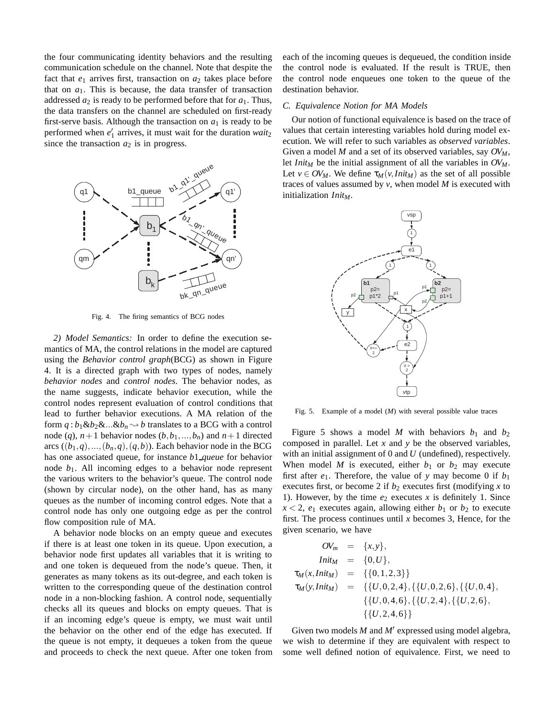the four communicating identity behaviors and the resulting communication schedule on the channel. Note that despite the fact that  $e_1$  arrives first, transaction on  $a_2$  takes place before that on  $a_1$ . This is because, the data transfer of transaction addressed *a*<sup>2</sup> is ready to be performed before that for *a*1. Thus, the data transfers on the channel are scheduled on first-ready first-serve basis. Although the transaction on  $a_1$  is ready to be performed when  $e'_1$  arrives, it must wait for the duration  $wait_2$ since the transaction  $a_2$  is in progress.



Fig. 4. The firing semantics of BCG nodes

*2) Model Semantics:* In order to define the execution semantics of MA, the control relations in the model are captured using the *Behavior control graph*(BCG) as shown in Figure 4. It is a directed graph with two types of nodes, namely *behavior nodes* and *control nodes*. The behavior nodes, as the name suggests, indicate behavior execution, while the control nodes represent evaluation of control conditions that lead to further behavior executions. A MA relation of the form  $q : b_1 \& b_2 \& \ldots \& b_n \rightarrow b$  translates to a BCG with a control node (q),  $n+1$  behavior nodes  $(b, b_1, ..., b_n)$  and  $n+1$  directed arcs  $((b_1,q),..., (b_n,q), (q,b))$ . Each behavior node in the BCG has one associated queue, for instance *b*1 *queue* for behavior node  $b_1$ . All incoming edges to a behavior node represent the various writers to the behavior's queue. The control node (shown by circular node), on the other hand, has as many queues as the number of incoming control edges. Note that a control node has only one outgoing edge as per the control flow composition rule of MA.

A behavior node blocks on an empty queue and executes if there is at least one token in its queue. Upon execution, a behavior node first updates all variables that it is writing to and one token is dequeued from the node's queue. Then, it generates as many tokens as its out-degree, and each token is written to the corresponding queue of the destination control node in a non-blocking fashion. A control node, sequentially checks all its queues and blocks on empty queues. That is if an incoming edge's queue is empty, we must wait until the behavior on the other end of the edge has executed. If the queue is not empty, it dequeues a token from the queue and proceeds to check the next queue. After one token from each of the incoming queues is dequeued, the condition inside the control node is evaluated. If the result is TRUE, then the control node enqueues one token to the queue of the destination behavior.

# *C. Equivalence Notion for MA Models*

Our notion of functional equivalence is based on the trace of values that certain interesting variables hold during model execution. We will refer to such variables as *observed variables*. Given a model *M* and a set of its observed variables, say  $OV_M$ , let *Init<sub>M</sub>* be the initial assignment of all the variables in  $OV_M$ . Let  $v \in OV_M$ . We define  $\tau_M(v,Init_M)$  as the set of all possible traces of values assumed by *v*, when model *M* is executed with initialization *Init<sub>M</sub>*.



Fig. 5. Example of a model (*M*) with several possible value traces

Figure 5 shows a model *M* with behaviors  $b_1$  and  $b_2$ composed in parallel. Let *x* and *y* be the observed variables, with an initial assignment of 0 and *U* (undefined), respectively. When model *M* is executed, either  $b_1$  or  $b_2$  may execute first after  $e_1$ . Therefore, the value of y may become 0 if  $b_1$ executes first, or become 2 if  $b_2$  executes first (modifying  $x$  to 1). However, by the time  $e_2$  executes  $x$  is definitely 1. Since  $x < 2$ ,  $e_1$  executes again, allowing either  $b_1$  or  $b_2$  to execute first. The process continues until *x* becomes 3, Hence, for the given scenario, we have

$$
OV_m = \{x, y\},
$$
  
\n
$$
Init_M = \{0, U\},
$$
  
\n
$$
\tau_M(x,Init_M) = \{\{0, 1, 2, 3\}\}\}
$$
  
\n
$$
\tau_M(y,Init_M) = \{\{U, 0, 2, 4\}, \{\{U, 0, 2, 6\}, \{\{U, 0, 4\}, \{\{U, 2, 6\}, \{\{U, 2, 4, 6\}\}\}\}\}
$$

Given two models  $M$  and  $M'$  expressed using model algebra, we wish to determine if they are equivalent with respect to some well defined notion of equivalence. First, we need to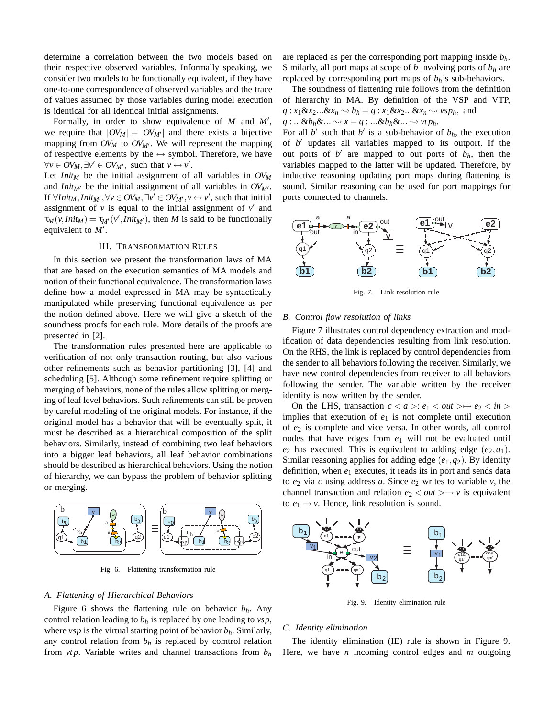determine a correlation between the two models based on their respective observed variables. Informally speaking, we consider two models to be functionally equivalent, if they have one-to-one correspondence of observed variables and the trace of values assumed by those variables during model execution is identical for all identical initial assignments.

Formally, in order to show equivalence of  $M$  and  $M'$ , we require that  $|OV_M| = |OV_{M'}|$  and there exists a bijective mapping from  $OV_M$  to  $OV_{M'}$ . We will represent the mapping of respective elements by the  $\leftrightarrow$  symbol. Therefore, we have  $\forall v \in OV_M, \exists v' \in OV_{M'}, \text{ such that } v \leftrightarrow v'.$ 

Let *Init<sub>M</sub>* be the initial assignment of all variables in  $OV_M$ and *Init<sub>M'</sub>* be the initial assignment of all variables in  $OV_{M'}$ . If  $\forall$ *Init<sub>M</sub>*, *Init<sub>M'</sub>*,  $\forall v \in OV_M$ ,  $\exists v' \in OV_{M'}$ ,  $v \leftrightarrow v'$ , such that initial assignment of  $v$  is equal to the initial assignment of  $v'$  and  $\tau_M(v,Init_M) = \tau_{M'}(v',Init_{M'}),$  then *M* is said to be functionally equivalent to  $M'$ .

### III. TRANSFORMATION RULES

In this section we present the transformation laws of MA that are based on the execution semantics of MA models and notion of their functional equivalence. The transformation laws define how a model expressed in MA may be syntactically manipulated while preserving functional equivalence as per the notion defined above. Here we will give a sketch of the soundness proofs for each rule. More details of the proofs are presented in [2].

The transformation rules presented here are applicable to verification of not only transaction routing, but also various other refinements such as behavior partitioning [3], [4] and scheduling [5]. Although some refinement require splitting or merging of behaviors, none of the rules allow splitting or merging of leaf level behaviors. Such refinements can still be proven by careful modeling of the original models. For instance, if the original model has a behavior that will be eventually split, it must be described as a hierarchical composition of the split behaviors. Similarly, instead of combining two leaf behaviors into a bigger leaf behaviors, all leaf behavior combinations should be described as hierarchical behaviors. Using the notion of hierarchy, we can bypass the problem of behavior splitting or merging.



Fig. 6. Flattening transformation rule

#### *A. Flattening of Hierarchical Behaviors*

Figure 6 shows the flattening rule on behavior  $b_h$ . Any control relation leading to  $b_h$  is replaced by one leading to  $vsp$ , where *vsp* is the virtual starting point of behavior *bh*. Similarly, any control relation from  $b<sub>h</sub>$  is replaced by comtrol relation from  $vtp$ . Variable writes and channel transactions from  $b<sub>h</sub>$ 

are replaced as per the corresponding port mapping inside *bh*. Similarly, all port maps at scope of *b* involving ports of *bh* are replaced by corresponding port maps of  $b_h$ 's sub-behaviors.

The soundness of flattening rule follows from the definition of hierarchy in MA. By definition of the VSP and VTP,  $q: x_1 \& x_2 \dots \& x_n \rightarrow b_h = q: x_1 \& x_2 \dots \& x_n \rightarrow v s p_h$ , and  $q: \ldots \& b_h \& \ldots \rightarrow x = q: \ldots \& b_h \& \ldots \rightarrow vtp_h.$ 

For all *b'* such that *b'* is a sub-behavior of  $b<sub>h</sub>$ , the execution of  $b'$  updates all variables mapped to its outport. If the out ports of  $b'$  are mapped to out ports of  $b<sub>h</sub>$ , then the variables mapped to the latter will be updated. Therefore, by inductive reasoning updating port maps during flattening is sound. Similar reasoning can be used for port mappings for ports connected to channels.



Fig. 7. Link resolution rule

#### *B. Control flow resolution of links*

Figure 7 illustrates control dependency extraction and modification of data dependencies resulting from link resolution. On the RHS, the link is replaced by control dependencies from the sender to all behaviors following the receiver. Similarly, we have new control dependencies from receiver to all behaviors following the sender. The variable written by the receiver identity is now written by the sender.

On the LHS, transaction  $c < a >: e_1 < out > \rightarrow e_2 < in >$ implies that execution of *e*<sup>1</sup> is not complete until execution of *e*<sup>2</sup> is complete and vice versa. In other words, all control nodes that have edges from *e*<sup>1</sup> will not be evaluated until  $e_2$  has executed. This is equivalent to adding edge  $(e_2, q_1)$ . Similar reasoning applies for adding edge (*e*1,*q*2). By identity definition, when *e*<sup>1</sup> executes, it reads its in port and sends data to  $e_2$  via  $c$  using address  $a$ . Since  $e_2$  writes to variable  $v$ , the channel transaction and relation  $e_2 < out > \rightarrow v$  is equivalent to  $e_1 \rightarrow v$ . Hence, link resolution is sound.



Fig. 9. Identity elimination rule

#### *C. Identity elimination*

The identity elimination (IE) rule is shown in Figure 9. Here, we have *n* incoming control edges and *m* outgoing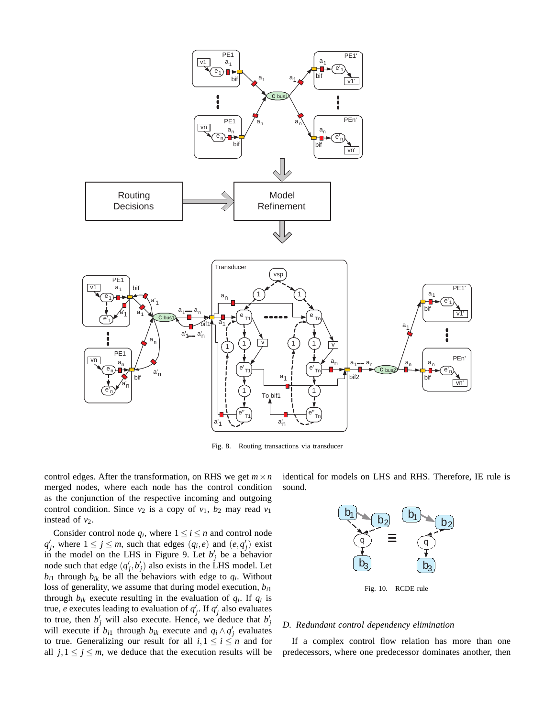

Fig. 8. Routing transactions via transducer

control edges. After the transformation, on RHS we get  $m \times n$ merged nodes, where each node has the control condition as the conjunction of the respective incoming and outgoing control condition. Since  $v_2$  is a copy of  $v_1$ ,  $b_2$  may read  $v_1$ instead of  $v_2$ .

Consider control node  $q_i$ , where  $1 \le i \le n$  and control node  $q'_{j}$ , where  $1 \leq j \leq m$ , such that edges  $(q_{i}, e)$  and  $(e, q'_{j})$  exist in the model on the LHS in Figure 9. Let  $b'_j$  be a behavior node such that edge  $(q'_j, b'_j)$  also exists in the LHS model. Let  $b_{i1}$  through  $b_{ik}$  be all the behaviors with edge to  $q_i$ . Without loss of generality, we assume that during model execution, *bi*<sup>1</sup> through  $b_{ik}$  execute resulting in the evaluation of  $q_i$ . If  $q_i$  is true, *e* executes leading to evaluation of  $q'_j$ . If  $q'_j$  also evaluates to true, then  $b'_j$  will also execute. Hence, we deduce that  $b'_j$  will execute if  $b_{i1}$  through  $b_{ik}$  execute and  $q_i \wedge q'_j$  evaluates to true. Generalizing our result for all  $i, 1 \le i \le n$  and for all  $j, 1 \leq j \leq m$ , we deduce that the execution results will be identical for models on LHS and RHS. Therefore, IE rule is sound.



Fig. 10. RCDE rule

#### *D. Redundant control dependency elimination*

If a complex control flow relation has more than one predecessors, where one predecessor dominates another, then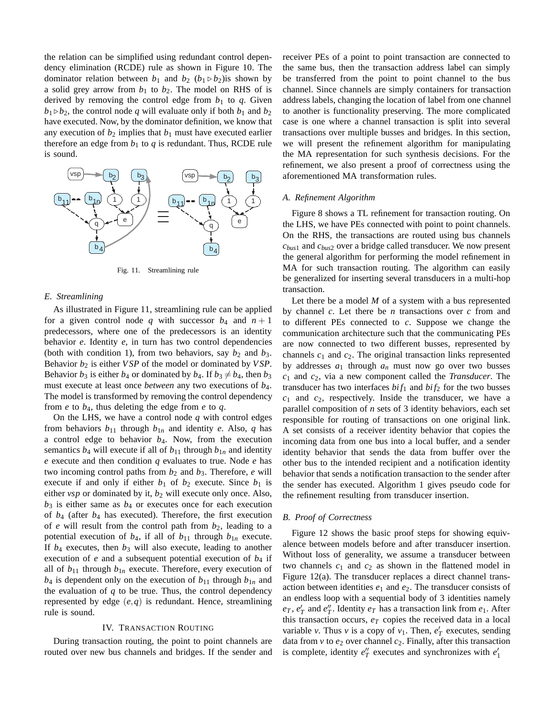the relation can be simplified using redundant control dependency elimination (RCDE) rule as shown in Figure 10. The dominator relation between  $b_1$  and  $b_2$  ( $b_1 \triangleright b_2$ ) is shown by a solid grey arrow from  $b_1$  to  $b_2$ . The model on RHS of is derived by removing the control edge from  $b_1$  to  $q$ . Given  $b_1 \triangleright b_2$ , the control node *q* will evaluate only if both  $b_1$  and  $b_2$ have executed. Now, by the dominator definition, we know that any execution of  $b_2$  implies that  $b_1$  must have executed earlier therefore an edge from  $b_1$  to  $q$  is redundant. Thus, RCDE rule is sound.



Fig. 11. Streamlining rule

## *E. Streamlining*

As illustrated in Figure 11, streamlining rule can be applied for a given control node q with successor  $b_4$  and  $n+1$ predecessors, where one of the predecessors is an identity behavior *e*. Identity *e*, in turn has two control dependencies (both with condition 1), from two behaviors, say  $b_2$  and  $b_3$ . Behavior *b*<sup>2</sup> is either *VSP* of the model or dominated by *VSP*. Behavior  $b_3$  is either  $b_4$  or dominated by  $b_4$ . If  $b_3 \neq b_4$ , then  $b_3$ must execute at least once *between* any two executions of *b*4. The model is transformed by removing the control dependency from  $e$  to  $b_4$ , thus deleting the edge from  $e$  to  $q$ .

On the LHS, we have a control node *q* with control edges from behaviors  $b_{11}$  through  $b_{1n}$  and identity *e*. Also, *q* has a control edge to behavior *b*4. Now, from the execution semantics  $b_4$  will execute if all of  $b_{11}$  through  $b_{1n}$  and identity *e* execute and then condition *q* evaluates to true. Node *e* has two incoming control paths from  $b_2$  and  $b_3$ . Therefore, *e* will execute if and only if either  $b_1$  of  $b_2$  execute. Since  $b_1$  is either *vsp* or dominated by it,  $b_2$  will execute only once. Also,  $b_3$  is either same as  $b_4$  or executes once for each execution of *b*<sup>4</sup> (after *b*<sup>4</sup> has executed). Therefore, the first execution of *e* will result from the control path from *b*2, leading to a potential execution of  $b_4$ , if all of  $b_{11}$  through  $b_{1n}$  execute. If *b*<sup>4</sup> executes, then *b*<sup>3</sup> will also execute, leading to another execution of  $e$  and a subsequent potential execution of  $b_4$  if all of  $b_{11}$  through  $b_{1n}$  execute. Therefore, every execution of  $b_4$  is dependent only on the execution of  $b_{11}$  through  $b_{1n}$  and the evaluation of *q* to be true. Thus, the control dependency represented by edge (*e*,*q*) is redundant. Hence, streamlining rule is sound.

#### IV. TRANSACTION ROUTING

During transaction routing, the point to point channels are routed over new bus channels and bridges. If the sender and

receiver PEs of a point to point transaction are connected to the same bus, then the transaction address label can simply be transferred from the point to point channel to the bus channel. Since channels are simply containers for transaction address labels, changing the location of label from one channel to another is functionality preserving. The more complicated case is one where a channel transaction is split into several transactions over multiple busses and bridges. In this section, we will present the refinement algorithm for manipulating the MA representation for such synthesis decisions. For the refinement, we also present a proof of correctness using the aforementioned MA transformation rules.

## *A. Refinement Algorithm*

Figure 8 shows a TL refinement for transaction routing. On the LHS, we have PEs connected with point to point channels. On the RHS, the transactions are routed using bus channels *cbus*<sup>1</sup> and *cbus*<sup>2</sup> over a bridge called transducer. We now present the general algorithm for performing the model refinement in MA for such transaction routing. The algorithm can easily be generalized for inserting several transducers in a multi-hop transaction.

Let there be a model *M* of a system with a bus represented by channel *c*. Let there be *n* transactions over *c* from and to different PEs connected to *c*. Suppose we change the communication architecture such that the communicating PEs are now connected to two different busses, represented by channels *c*<sup>1</sup> and *c*2. The original transaction links represented by addresses  $a_1$  through  $a_n$  must now go over two busses *c*<sup>1</sup> and *c*2, via a new component called the *Transducer*. The transducer has two interfaces  $bif_1$  and  $bif_2$  for the two busses *c*<sup>1</sup> and *c*2, respectively. Inside the transducer, we have a parallel composition of *n* sets of 3 identity behaviors, each set responsible for routing of transactions on one original link. A set consists of a receiver identity behavior that copies the incoming data from one bus into a local buffer, and a sender identity behavior that sends the data from buffer over the other bus to the intended recipient and a notification identity behavior that sends a notification transaction to the sender after the sender has executed. Algorithm 1 gives pseudo code for the refinement resulting from transducer insertion.

# *B. Proof of Correctness*

Figure 12 shows the basic proof steps for showing equivalence between models before and after transducer insertion. Without loss of generality, we assume a transducer between two channels  $c_1$  and  $c_2$  as shown in the flattened model in Figure 12(a). The transducer replaces a direct channel transaction between identities *e*<sup>1</sup> and *e*2. The transducer consists of an endless loop with a sequential body of 3 identities namely  $e_T$ ,  $e'_T$  and  $e''_T$ . Identity  $e_T$  has a transaction link from  $e_1$ . After this transaction occurs,  $e_T$  copies the received data in a local variable *v*. Thus *v* is a copy of  $v_1$ . Then,  $e'_T$  executes, sending data from  $v$  to  $e_2$  over channel  $c_2$ . Finally, after this transaction is complete, identity  $e_T''$  executes and synchronizes with  $e_1'$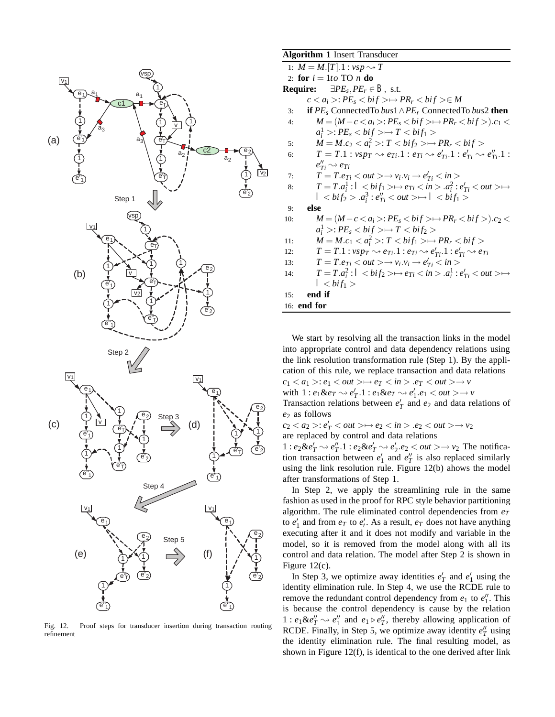

Fig. 12. Proof steps for transducer insertion during transaction routing refinement

# **Algorithm 1** Insert Transducer

| $\mu$ <b>Ng</b> orium I mscrt Hansdacch                                                                                             |  |  |  |  |
|-------------------------------------------------------------------------------------------------------------------------------------|--|--|--|--|
| 1: $M = M.[T].1 : vsp \rightarrow T$                                                                                                |  |  |  |  |
| 2: for $i = 1to$ TO n do                                                                                                            |  |  |  |  |
| <b>Require:</b> $\exists PE_s, PE_r \in B$ , s.t.                                                                                   |  |  |  |  |
| $c < a_i > P E_s < bi f > \rightarrow PR_r < bi f > \in M$                                                                          |  |  |  |  |
| <b>if</b> $PE_s$ Connected To bus $1 \wedge PE_r$ Connected To bus 2 then<br>3:                                                     |  |  |  |  |
| $M = (M - c < a_i >: PE_s < bif> \rightarrow PR_r < bif>).c_1 <$<br>4:                                                              |  |  |  |  |
| $a_i^1 > P E_s < bi f > \rightarrow T < bi f_1 >$                                                                                   |  |  |  |  |
| $M = M.c_2 < a_i^2 > T < bi f_2 > \rightarrow PR_r < bi f >$<br>5:                                                                  |  |  |  |  |
| $T = T.1$ : $vsp_T \rightsquigarrow e_{Ti}.1$ : $e_{Ti} \rightsquigarrow e'_{Ti}.1$ : $e'_{Ti} \rightsquigarrow e''_{Ti}.1$ :<br>6: |  |  |  |  |
| $e''_{Ti} \rightsquigarrow e_{Ti}$                                                                                                  |  |  |  |  |
| $T = T.e_{Ti} < out > \rightarrow v_i.v_i \rightarrow e'_{Ti} < in >$<br>7:                                                         |  |  |  |  |
| $T=T.a_i^1: I < bif_1> \rightarrow e_{Ti} < in > .a_i^2: e'_{Ti} < out> \rightarrow \rightarrow$<br>8:                              |  |  |  |  |
| $I < bi f_2 > a_i^3 : e_{Ti}'' < out > \rightarrow I < bi f_1 >$                                                                    |  |  |  |  |
| else<br>9:                                                                                                                          |  |  |  |  |
| $M = (M - c < a_i >: PE_s < bif> \rightarrow PR_r < bif>).c_2 <$<br>10:                                                             |  |  |  |  |
| $a_i^1 > P E_s < bi f > \rightarrow T < bi f_2 >$                                                                                   |  |  |  |  |
| $M = M.c_1 < a_i^2 > T < bi f_1 > \rightarrow PR_r < bi f >$<br>11:                                                                 |  |  |  |  |
| $T = T.1 : vsp_T \rightarrow e_{Ti}.1 : e_{Ti} \rightarrow e'_{Ti}.1 : e'_{Ti} \rightarrow e_{Ti}$<br>12:                           |  |  |  |  |
| $T = T.e_{Ti} < out > \rightarrow v_i.v_i \rightarrow e'_{Ti} < in >$<br>13:                                                        |  |  |  |  |
| $T = T.a_i^2$ : $I < bi f_2 > \rightarrow e_{Ti} < in > .a_i^1$ : $e'_{Ti} < out > \rightarrow$<br>14:                              |  |  |  |  |
| $I < bif_1 >$                                                                                                                       |  |  |  |  |
| end if<br>15:                                                                                                                       |  |  |  |  |
| 16: end for                                                                                                                         |  |  |  |  |

We start by resolving all the transaction links in the model into appropriate control and data dependency relations using the link resolution transformation rule (Step 1). By the application of this rule, we replace transaction and data relations

 $c_1 < a_1 >: e_1 < out > \mapsto e_T < in > .e_T < out > \mapsto v$ with  $1: e_1 \& e_T \rightarrow e'_T.1: e_1 \& e_T \rightarrow e'_1. e_1 < out > \rightarrow v$ 

Transaction relations between  $e'_T$  and  $e_2$  and data relations of *e*<sup>2</sup> as follows

 $c_2 < a_2 > a c'_T < out > \mapsto e_2 < in > .e_2 < out > \mapsto v_2$ are replaced by control and data relations

 $1: e_2 \& e'_T \rightarrow e''_T.1: e_2 \& e'_T \rightarrow e'_2.e_2 < out \rightarrow \rightarrow v_2$  The notification transaction between  $e'_1$  and  $e''_T$  is also replaced similarly using the link resolution rule. Figure 12(b) ahows the model after transformations of Step 1.

In Step 2, we apply the streamlining rule in the same fashion as used in the proof for RPC style behavior partitioning algorithm. The rule eliminated control dependencies from  $e_T$ to  $e'_1$  and from  $e_T$  to  $e'_t$ . As a result,  $e_T$  does not have anything executing after it and it does not modify and variable in the model, so it is removed from the model along with all its control and data relation. The model after Step 2 is shown in Figure 12(c).

In Step 3, we optimize away identities  $e'_T$  and  $e'_1$  using the identity elimination rule. In Step 4, we use the RCDE rule to remove the redundant control dependency from  $e_1$  to  $e_1''$ . This is because the control dependency is cause by the relation  $1: e_1 \& e''_T \rightarrow e''_1$  and  $e_1 \triangleright e''_T$ , thereby allowing application of RCDE. Finally, in Step 5, we optimize away identity  $e_T''$  using the identity elimination rule. The final resulting model, as shown in Figure 12(f), is identical to the one derived after link